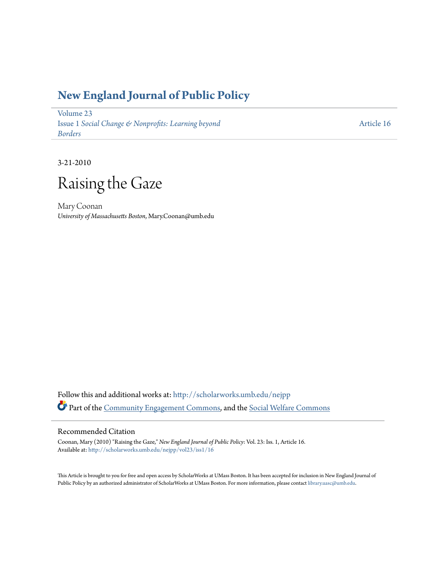### **[New England Journal of Public Policy](http://scholarworks.umb.edu/nejpp?utm_source=scholarworks.umb.edu%2Fnejpp%2Fvol23%2Fiss1%2F16&utm_medium=PDF&utm_campaign=PDFCoverPages)**

[Volume 23](http://scholarworks.umb.edu/nejpp/vol23?utm_source=scholarworks.umb.edu%2Fnejpp%2Fvol23%2Fiss1%2F16&utm_medium=PDF&utm_campaign=PDFCoverPages) Issue 1 *[Social Change & Nonprofits: Learning beyond](http://scholarworks.umb.edu/nejpp/vol23/iss1?utm_source=scholarworks.umb.edu%2Fnejpp%2Fvol23%2Fiss1%2F16&utm_medium=PDF&utm_campaign=PDFCoverPages) [Borders](http://scholarworks.umb.edu/nejpp/vol23/iss1?utm_source=scholarworks.umb.edu%2Fnejpp%2Fvol23%2Fiss1%2F16&utm_medium=PDF&utm_campaign=PDFCoverPages)*

[Article 16](http://scholarworks.umb.edu/nejpp/vol23/iss1/16?utm_source=scholarworks.umb.edu%2Fnejpp%2Fvol23%2Fiss1%2F16&utm_medium=PDF&utm_campaign=PDFCoverPages)

3-21-2010

# Raising the Gaze

Mary Coonan *University of Massachusetts Boston*, Mary.Coonan@umb.edu

Follow this and additional works at: [http://scholarworks.umb.edu/nejpp](http://scholarworks.umb.edu/nejpp?utm_source=scholarworks.umb.edu%2Fnejpp%2Fvol23%2Fiss1%2F16&utm_medium=PDF&utm_campaign=PDFCoverPages) Part of the [Community Engagement Commons](http://network.bepress.com/hgg/discipline/1028?utm_source=scholarworks.umb.edu%2Fnejpp%2Fvol23%2Fiss1%2F16&utm_medium=PDF&utm_campaign=PDFCoverPages), and the [Social Welfare Commons](http://network.bepress.com/hgg/discipline/401?utm_source=scholarworks.umb.edu%2Fnejpp%2Fvol23%2Fiss1%2F16&utm_medium=PDF&utm_campaign=PDFCoverPages)

### Recommended Citation

Coonan, Mary (2010) "Raising the Gaze," *New England Journal of Public Policy*: Vol. 23: Iss. 1, Article 16. Available at: [http://scholarworks.umb.edu/nejpp/vol23/iss1/16](http://scholarworks.umb.edu/nejpp/vol23/iss1/16?utm_source=scholarworks.umb.edu%2Fnejpp%2Fvol23%2Fiss1%2F16&utm_medium=PDF&utm_campaign=PDFCoverPages)

This Article is brought to you for free and open access by ScholarWorks at UMass Boston. It has been accepted for inclusion in New England Journal of Public Policy by an authorized administrator of ScholarWorks at UMass Boston. For more information, please contact [library.uasc@umb.edu](mailto:library.uasc@umb.edu).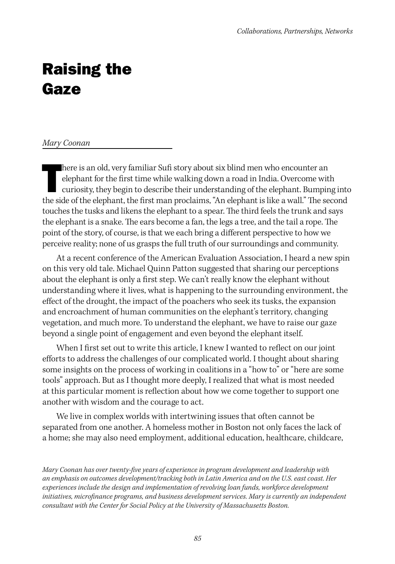## Raising the Gaze

#### *Mary Coonan*

here is an old, very familiar Sufi story about six blind men who encounter an elephant for the first time while walking down a road in India. Overcome with curiosity, they begin to describe their understanding of the eleph here is an old, very familiar Sufi story about six blind men who encounter an elephant for the first time while walking down a road in India. Overcome with curiosity, they begin to describe their understanding of the elephant. Bumping into touches the tusks and likens the elephant to a spear. The third feels the trunk and says the elephant is a snake. The ears become a fan, the legs a tree, and the tail a rope. The point of the story, of course, is that we each bring a different perspective to how we perceive reality; none of us grasps the full truth of our surroundings and community.

At a recent conference of the American Evaluation Association, I heard a new spin on this very old tale. Michael Quinn Patton suggested that sharing our perceptions about the elephant is only a first step. We can't really know the elephant without understanding where it lives, what is happening to the surrounding environment, the effect of the drought, the impact of the poachers who seek its tusks, the expansion and encroachment of human communities on the elephant's territory, changing vegetation, and much more. To understand the elephant, we have to raise our gaze beyond a single point of engagement and even beyond the elephant itself.

When I first set out to write this article, I knew I wanted to reflect on our joint efforts to address the challenges of our complicated world. I thought about sharing some insights on the process of working in coalitions in a "how to" or "here are some tools" approach. But as I thought more deeply, I realized that what is most needed at this particular moment is reflection about how we come together to support one another with wisdom and the courage to act.

We live in complex worlds with intertwining issues that often cannot be separated from one another. A homeless mother in Boston not only faces the lack of a home; she may also need employment, additional education, healthcare, childcare,

*Mary Coonan has over twenty-five years of experience in program development and leadership with an emphasis on outcomes development/tracking both in Latin America and on the U.S. east coast. Her experiences include the design and implementation of revolving loan funds, workforce development initiatives, microfinance programs, and business development services. Mary is currently an independent consultant with the Center for Social Policy at the University of Massachusetts Boston.*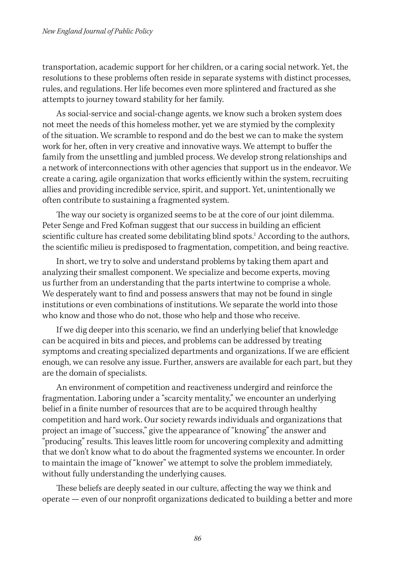transportation, academic support for her children, or a caring social network. Yet, the resolutions to these problems often reside in separate systems with distinct processes, rules, and regulations. Her life becomes even more splintered and fractured as she attempts to journey toward stability for her family.

As social-service and social-change agents, we know such a broken system does not meet the needs of this homeless mother, yet we are stymied by the complexity of the situation. We scramble to respond and do the best we can to make the system work for her, often in very creative and innovative ways. We attempt to buffer the family from the unsettling and jumbled process. We develop strong relationships and a network of interconnections with other agencies that support us in the endeavor. We create a caring, agile organization that works efficiently within the system, recruiting allies and providing incredible service, spirit, and support. Yet, unintentionally we often contribute to sustaining a fragmented system.

The way our society is organized seems to be at the core of our joint dilemma. Peter Senge and Fred Kofman suggest that our success in building an efficient scientific culture has created some debilitating blind spots.<sup>1</sup> According to the authors, the scientific milieu is predisposed to fragmentation, competition, and being reactive.

In short, we try to solve and understand problems by taking them apart and analyzing their smallest component. We specialize and become experts, moving us further from an understanding that the parts intertwine to comprise a whole. We desperately want to find and possess answers that may not be found in single institutions or even combinations of institutions. We separate the world into those who know and those who do not, those who help and those who receive.

If we dig deeper into this scenario, we find an underlying belief that knowledge can be acquired in bits and pieces, and problems can be addressed by treating symptoms and creating specialized departments and organizations. If we are efficient enough, we can resolve any issue. Further, answers are available for each part, but they are the domain of specialists.

An environment of competition and reactiveness undergird and reinforce the fragmentation. Laboring under a "scarcity mentality," we encounter an underlying belief in a finite number of resources that are to be acquired through healthy competition and hard work. Our society rewards individuals and organizations that project an image of "success," give the appearance of "knowing" the answer and "producing" results. This leaves little room for uncovering complexity and admitting that we don't know what to do about the fragmented systems we encounter. In order to maintain the image of "knower" we attempt to solve the problem immediately, without fully understanding the underlying causes.

These beliefs are deeply seated in our culture, affecting the way we think and operate — even of our nonprofit organizations dedicated to building a better and more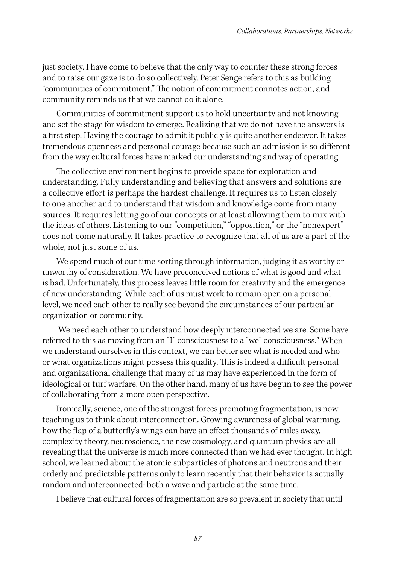just society. I have come to believe that the only way to counter these strong forces and to raise our gaze is to do so collectively. Peter Senge refers to this as building "communities of commitment." The notion of commitment connotes action, and community reminds us that we cannot do it alone.

Communities of commitment support us to hold uncertainty and not knowing and set the stage for wisdom to emerge. Realizing that we do not have the answers is a first step. Having the courage to admit it publicly is quite another endeavor. It takes tremendous openness and personal courage because such an admission is so different from the way cultural forces have marked our understanding and way of operating.

The collective environment begins to provide space for exploration and understanding. Fully understanding and believing that answers and solutions are a collective effort is perhaps the hardest challenge. It requires us to listen closely to one another and to understand that wisdom and knowledge come from many sources. It requires letting go of our concepts or at least allowing them to mix with the ideas of others. Listening to our "competition," "opposition," or the "nonexpert" does not come naturally. It takes practice to recognize that all of us are a part of the whole, not just some of us.

We spend much of our time sorting through information, judging it as worthy or unworthy of consideration. We have preconceived notions of what is good and what is bad. Unfortunately, this process leaves little room for creativity and the emergence of new understanding. While each of us must work to remain open on a personal level, we need each other to really see beyond the circumstances of our particular organization or community.

 We need each other to understand how deeply interconnected we are. Some have referred to this as moving from an "I" consciousness to a "we" consciousness.<sup>2</sup> When we understand ourselves in this context, we can better see what is needed and who or what organizations might possess this quality. This is indeed a difficult personal and organizational challenge that many of us may have experienced in the form of ideological or turf warfare. On the other hand, many of us have begun to see the power of collaborating from a more open perspective.

Ironically, science, one of the strongest forces promoting fragmentation, is now teaching us to think about interconnection. Growing awareness of global warming, how the flap of a butterfly's wings can have an effect thousands of miles away, complexity theory, neuroscience, the new cosmology, and quantum physics are all revealing that the universe is much more connected than we had ever thought. In high school, we learned about the atomic subparticles of photons and neutrons and their orderly and predictable patterns only to learn recently that their behavior is actually random and interconnected: both a wave and particle at the same time.

I believe that cultural forces of fragmentation are so prevalent in society that until